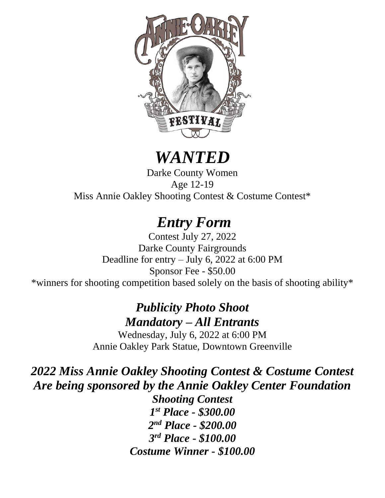

# *WANTED*

Darke County Women Age 12-19 Miss Annie Oakley Shooting Contest & Costume Contest\*

# *Entry Form*

Contest July 27, 2022 Darke County Fairgrounds Deadline for entry – July 6, 2022 at 6:00 PM Sponsor Fee - \$50.00 \*winners for shooting competition based solely on the basis of shooting ability\*

## *Publicity Photo Shoot Mandatory – All Entrants*

Wednesday, July 6, 2022 at 6:00 PM Annie Oakley Park Statue, Downtown Greenville

*2022 Miss Annie Oakley Shooting Contest & Costume Contest Are being sponsored by the Annie Oakley Center Foundation*

*Shooting Contest 1 st Place - \$300.00 2 nd Place - \$200.00 3 rd Place - \$100.00 Costume Winner - \$100.00*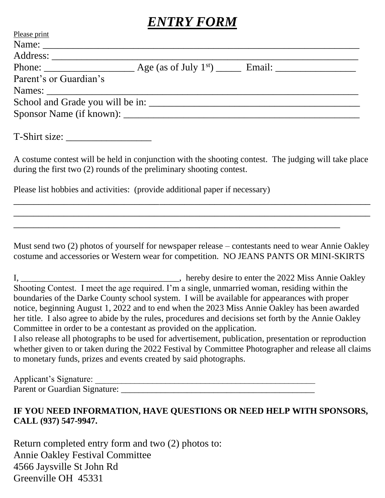# *ENTRY FORM*

| Please print             |  |
|--------------------------|--|
|                          |  |
| Address:                 |  |
|                          |  |
| Parent's or Guardian's   |  |
|                          |  |
|                          |  |
| Sponsor Name (if known): |  |
|                          |  |

T-Shirt size:

A costume contest will be held in conjunction with the shooting contest. The judging will take place during the first two (2) rounds of the preliminary shooting contest.

\_\_\_\_\_\_\_\_\_\_\_\_\_\_\_\_\_\_\_\_\_\_\_\_\_\_\_\_\_\_\_\_\_\_\_\_\_\_\_\_\_\_\_\_\_\_\_\_\_\_\_\_\_\_\_\_\_\_\_\_\_\_\_\_\_\_\_\_\_\_\_ \_\_\_\_\_\_\_\_\_\_\_\_\_\_\_\_\_\_\_\_\_\_\_\_\_\_\_\_\_\_\_\_\_\_\_\_\_\_\_\_\_\_\_\_\_\_\_\_\_\_\_\_\_\_\_\_\_\_\_\_\_\_\_\_\_\_\_\_\_\_\_

\_\_\_\_\_\_\_\_\_\_\_\_\_\_\_\_\_\_\_\_\_\_\_\_\_\_\_\_\_\_\_\_\_\_\_\_\_\_\_\_\_\_\_\_\_\_\_\_\_\_\_\_\_\_\_\_\_\_\_\_\_\_\_\_\_

Please list hobbies and activities: (provide additional paper if necessary)

Must send two (2) photos of yourself for newspaper release – contestants need to wear Annie Oakley costume and accessories or Western wear for competition. NO JEANS PANTS OR MINI-SKIRTS

I, \_\_\_\_\_\_\_\_\_\_\_\_\_\_\_\_\_\_\_\_\_\_\_\_\_\_\_\_\_\_\_\_\_\_\_\_, hereby desire to enter the 2022 Miss Annie Oakley Shooting Contest. I meet the age required. I'm a single, unmarried woman, residing within the boundaries of the Darke County school system. I will be available for appearances with proper notice, beginning August 1, 2022 and to end when the 2023 Miss Annie Oakley has been awarded her title. I also agree to abide by the rules, procedures and decisions set forth by the Annie Oakley Committee in order to be a contestant as provided on the application.

I also release all photographs to be used for advertisement, publication, presentation or reproduction whether given to or taken during the 2022 Festival by Committee Photographer and release all claims to monetary funds, prizes and events created by said photographs.

Applicant's Signature: Parent or Guardian Signature: \_\_\_\_\_\_\_\_\_\_\_\_\_\_\_\_\_\_\_\_\_\_\_\_\_\_\_\_\_\_\_\_\_\_\_\_\_\_\_\_\_\_\_\_

#### **IF YOU NEED INFORMATION, HAVE QUESTIONS OR NEED HELP WITH SPONSORS, CALL (937) 547-9947.**

Return completed entry form and two (2) photos to: Annie Oakley Festival Committee 4566 Jaysville St John Rd Greenville OH 45331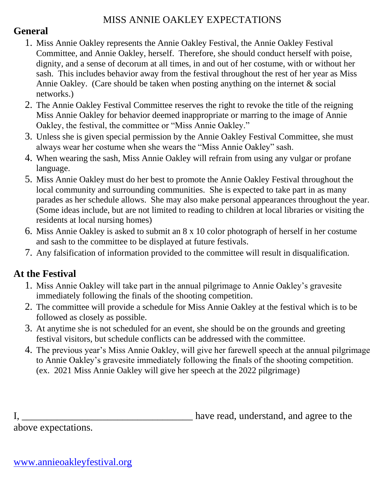### MISS ANNIE OAKLEY EXPECTATIONS

### **General**

- 1. Miss Annie Oakley represents the Annie Oakley Festival, the Annie Oakley Festival Committee, and Annie Oakley, herself. Therefore, she should conduct herself with poise, dignity, and a sense of decorum at all times, in and out of her costume, with or without her sash. This includes behavior away from the festival throughout the rest of her year as Miss Annie Oakley. (Care should be taken when posting anything on the internet & social networks.)
- 2. The Annie Oakley Festival Committee reserves the right to revoke the title of the reigning Miss Annie Oakley for behavior deemed inappropriate or marring to the image of Annie Oakley, the festival, the committee or "Miss Annie Oakley."
- 3. Unless she is given special permission by the Annie Oakley Festival Committee, she must always wear her costume when she wears the "Miss Annie Oakley" sash.
- 4. When wearing the sash, Miss Annie Oakley will refrain from using any vulgar or profane language.
- 5. Miss Annie Oakley must do her best to promote the Annie Oakley Festival throughout the local community and surrounding communities. She is expected to take part in as many parades as her schedule allows. She may also make personal appearances throughout the year. (Some ideas include, but are not limited to reading to children at local libraries or visiting the residents at local nursing homes)
- 6. Miss Annie Oakley is asked to submit an 8 x 10 color photograph of herself in her costume and sash to the committee to be displayed at future festivals.
- 7. Any falsification of information provided to the committee will result in disqualification.

## **At the Festival**

- 1. Miss Annie Oakley will take part in the annual pilgrimage to Annie Oakley's gravesite immediately following the finals of the shooting competition.
- 2. The committee will provide a schedule for Miss Annie Oakley at the festival which is to be followed as closely as possible.
- 3. At anytime she is not scheduled for an event, she should be on the grounds and greeting festival visitors, but schedule conflicts can be addressed with the committee.
- 4. The previous year's Miss Annie Oakley, will give her farewell speech at the annual pilgrimage to Annie Oakley's gravesite immediately following the finals of the shooting competition. (ex. 2021 Miss Annie Oakley will give her speech at the 2022 pilgrimage)

I, \_\_\_\_\_\_\_\_\_\_\_\_\_\_\_\_\_\_\_\_\_\_\_\_\_\_\_\_\_\_\_\_\_\_ have read, understand, and agree to the

above expectations.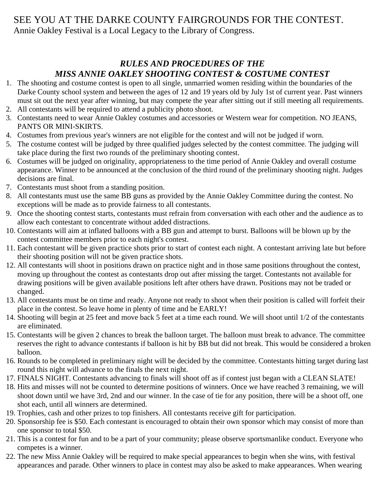#### SEE YOU AT THE DARKE COUNTY FAIRGROUNDS FOR THE CONTEST. Annie Oakley Festival is a Local Legacy to the Library of Congress.

#### *RULES AND PROCEDURES OF THE MISS ANNIE OAKLEY SHOOTING CONTEST & COSTUME CONTEST*

- 1. The shooting and costume contest is open to all single, unmarried women residing within the boundaries of the Darke County school system and between the ages of 12 and 19 years old by July 1st of current year. Past winners must sit out the next year after winning, but may compete the year after sitting out if still meeting all requirements.
- 2. All contestants will be required to attend a publicity photo shoot.
- 3. Contestants need to wear Annie Oakley costumes and accessories or Western wear for competition. NO JEANS, PANTS OR MINI-SKIRTS.
- 4. Costumes from previous year's winners are not eligible for the contest and will not be judged if worn.
- 5. The costume contest will be judged by three qualified judges selected by the contest committee. The judging will take place during the first two rounds of the preliminary shooting contest.
- 6. Costumes will be judged on originality, appropriateness to the time period of Annie Oakley and overall costume appearance. Winner to be announced at the conclusion of the third round of the preliminary shooting night. Judges decisions are final.
- 7. Contestants must shoot from a standing position.
- 8. All contestants must use the same BB guns as provided by the Annie Oakley Committee during the contest. No exceptions will be made as to provide fairness to all contestants.
- 9. Once the shooting contest starts, contestants must refrain from conversation with each other and the audience as to allow each contestant to concentrate without added distractions.
- 10. Contestants will aim at inflated balloons with a BB gun and attempt to burst. Balloons will be blown up by the contest committee members prior to each night's contest.
- 11. Each contestant will be given practice shots prior to start of contest each night. A contestant arriving late but before their shooting position will not be given practice shots.
- 12. All contestants will shoot in positions drawn on practice night and in those same positions throughout the contest, moving up throughout the contest as contestants drop out after missing the target. Contestants not available for drawing positions will be given available positions left after others have drawn. Positions may not be traded or changed.
- 13. All contestants must be on time and ready. Anyone not ready to shoot when their position is called will forfeit their place in the contest. So leave home in plenty of time and be EARLY!
- 14. Shooting will begin at 25 feet and move back 5 feet at a time each round. We will shoot until 1/2 of the contestants are eliminated.
- 15. Contestants will be given 2 chances to break the balloon target. The balloon must break to advance. The committee reserves the right to advance contestants if balloon is hit by BB but did not break. This would be considered a broken balloon.
- 16. Rounds to be completed in preliminary night will be decided by the committee. Contestants hitting target during last round this night will advance to the finals the next night.
- 17. FINALS NIGHT. Contestants advancing to finals will shoot off as if contest just began with a CLEAN SLATE!
- 18. Hits and misses will not be counted to determine positions of winners. Once we have reached 3 remaining, we will shoot down until we have 3rd, 2nd and our winner. In the case of tie for any position, there will be a shoot off, one shot each, until all winners are determined.
- 19. Trophies, cash and other prizes to top finishers. All contestants receive gift for participation.
- 20. Sponsorship fee is \$50. Each contestant is encouraged to obtain their own sponsor which may consist of more than one sponsor to total \$50.
- 21. This is a contest for fun and to be a part of your community; please observe sportsmanlike conduct. Everyone who competes is a winner.
- 22. The new Miss Annie Oakley will be required to make special appearances to begin when she wins, with festival appearances and parade. Other winners to place in contest may also be asked to make appearances. When wearing